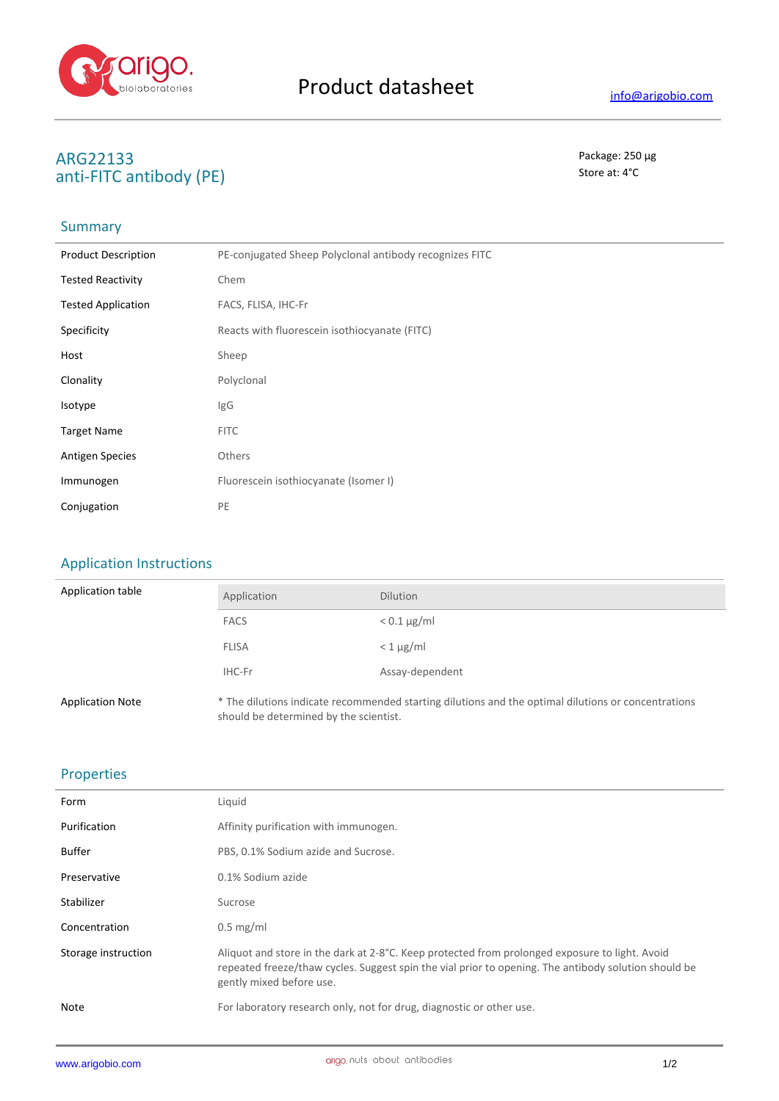

# **ARG22133** Package: 250 μg<br>
anti-FITC antibody (DF) Store at: 4°C anti-FITC antibody (PE)

## **Summary**

| <b>Product Description</b> | PE-conjugated Sheep Polyclonal antibody recognizes FITC |  |
|----------------------------|---------------------------------------------------------|--|
| <b>Tested Reactivity</b>   | Chem                                                    |  |
| <b>Tested Application</b>  | FACS, FLISA, IHC-Fr                                     |  |
| Specificity                | Reacts with fluorescein isothiocyanate (FITC)           |  |
| Host                       | Sheep                                                   |  |
| Clonality                  | Polyclonal                                              |  |
| Isotype                    | IgG                                                     |  |
| <b>Target Name</b>         | <b>FITC</b>                                             |  |
| <b>Antigen Species</b>     | <b>Others</b>                                           |  |
| Immunogen                  | Fluorescein isothiocyanate (Isomer I)                   |  |
| Conjugation                | PE                                                      |  |

### Application Instructions

| Application table       | Application  | <b>Dilution</b>                                                                                     |
|-------------------------|--------------|-----------------------------------------------------------------------------------------------------|
|                         | <b>FACS</b>  | $< 0.1 \mu g/ml$                                                                                    |
|                         | <b>FLISA</b> | $< 1 \mu$ g/ml                                                                                      |
|                         | IHC-Fr       | Assay-dependent                                                                                     |
| <b>Application Note</b> |              | * The dilutions indicate recommended starting dilutions and the optimal dilutions or concentrations |

should be determined by the scientist.

#### Properties

| Form                | Liquid                                                                                                                                                                                                                             |
|---------------------|------------------------------------------------------------------------------------------------------------------------------------------------------------------------------------------------------------------------------------|
| Purification        | Affinity purification with immunogen.                                                                                                                                                                                              |
| <b>Buffer</b>       | PBS, 0.1% Sodium azide and Sucrose.                                                                                                                                                                                                |
| Preservative        | 0.1% Sodium azide                                                                                                                                                                                                                  |
| Stabilizer          | Sucrose                                                                                                                                                                                                                            |
| Concentration       | $0.5$ mg/ml                                                                                                                                                                                                                        |
| Storage instruction | Aliquot and store in the dark at 2-8°C. Keep protected from prolonged exposure to light. Avoid<br>repeated freeze/thaw cycles. Suggest spin the vial prior to opening. The antibody solution should be<br>gently mixed before use. |
| Note                | For laboratory research only, not for drug, diagnostic or other use.                                                                                                                                                               |